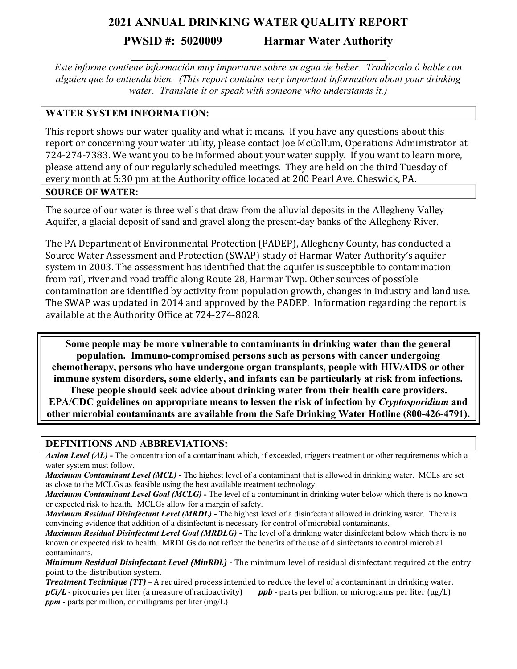# **2021 ANNUAL DRINKING WATER QUALITY REPORT**

**PWSID #: 5020009 Harmar Water Authority** 

*Este informe contiene información muy importante sobre su agua de beber. Tradúzcalo ó hable con alguien que lo entienda bien. (This report contains very important information about your drinking water. Translate it or speak with someone who understands it.)*

**\_\_\_\_\_\_\_\_\_\_\_\_\_\_\_\_\_\_\_\_\_\_\_\_\_\_\_\_\_\_\_\_\_\_\_\_\_\_\_\_\_\_\_**

# **WATER SYSTEM INFORMATION:**

This report shows our water quality and what it means. If you have any questions about this report or concerning your water utility, please contact Joe McCollum, Operations Administrator at 724-274-7383. We want you to be informed about your water supply. If you want to learn more, please attend any of our regularly scheduled meetings. They are held on the third Tuesday of every month at 5:30 pm at the Authority office located at 200 Pearl Ave. Cheswick, PA. **SOURCE OF WATER:**

The source of our water is three wells that draw from the alluvial deposits in the Allegheny Valley Aquifer, a glacial deposit of sand and gravel along the present-day banks of the Allegheny River.

The PA Department of Environmental Protection (PADEP), Allegheny County, has conducted a Source Water Assessment and Protection (SWAP) study of Harmar Water Authority's aquifer system in 2003. The assessment has identified that the aquifer is susceptible to contamination from rail, river and road traffic along Route 28, Harmar Twp. Other sources of possible contamination are identified by activity from population growth, changes in industry and land use. The SWAP was updated in 2014 and approved by the PADEP. Information regarding the report is available at the Authority Office at 724-274-8028.

**Some people may be more vulnerable to contaminants in drinking water than the general population. Immuno-compromised persons such as persons with cancer undergoing chemotherapy, persons who have undergone organ transplants, people with HIV/AIDS or other immune system disorders, some elderly, and infants can be particularly at risk from infections. These people should seek advice about drinking water from their health care providers. EPA/CDC guidelines on appropriate means to lessen the risk of infection by** *Cryptosporidium* **and other microbial contaminants are available from the Safe Drinking Water Hotline (800-426-4791).**

#### **DEFINITIONS AND ABBREVIATIONS:**

*Action Level (AL)* - The concentration of a contaminant which, if exceeded, triggers treatment or other requirements which a water system must follow.

*Maximum Contaminant Level (MCL)* **-** The highest level of a contaminant that is allowed in drinking water. MCLs are set as close to the MCLGs as feasible using the best available treatment technology.

*Maximum Contaminant Level Goal (MCLG)* **-** The level of a contaminant in drinking water below which there is no known or expected risk to health. MCLGs allow for a margin of safety.

*Maximum Residual Disinfectant Level (MRDL)* **-** The highest level of a disinfectant allowed in drinking water. There is convincing evidence that addition of a disinfectant is necessary for control of microbial contaminants.

*Maximum Residual Disinfectant Level Goal (MRDLG)* **-** The level of a drinking water disinfectant below which there is no known or expected risk to health. MRDLGs do not reflect the benefits of the use of disinfectants to control microbial contaminants.

*Minimum Residual Disinfectant Level (MinRDL) -* The minimum level of residual disinfectant required at the entry point to the distribution system.

*Treatment Technique (TT) –* A required process intended to reduce the level of a contaminant in drinking water. *pCi/L* - picocuries per liter (a measure of radioactivity) *ppb* - parts per billion, or micrograms per liter (μg/L) *ppm* - parts per million, or milligrams per liter (mg/L)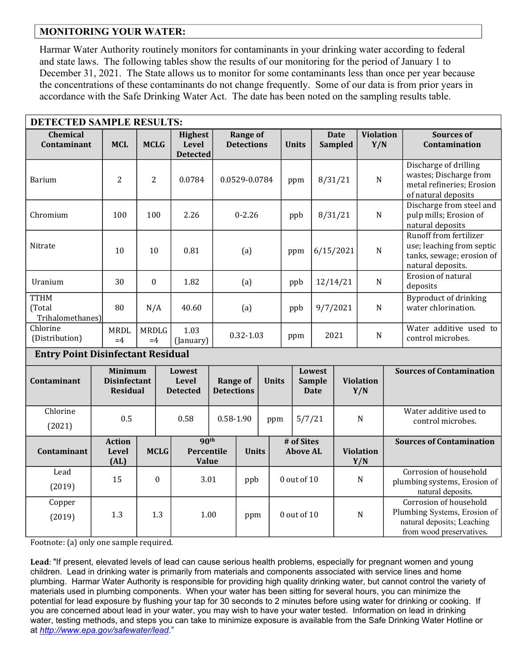### **MONITORING YOUR WATER:**

Harmar Water Authority routinely monitors for contaminants in your drinking water according to federal and state laws. The following tables show the results of our monitoring for the period of January 1 to December 31, 2021. The State allows us to monitor for some contaminants less than once per year because the concentrations of these contaminants do not change frequently. Some of our data is from prior years in accordance with the Safe Drinking Water Act. The date has been noted on the sampling results table.

| <b>DETECTED SAMPLE RESULTS:</b>           |                                                          |                      |                                    |                                            |                                      |                                      |               |                                                               |                               |                               |                         |                         |                                                                                                                  |                                                                                                       |
|-------------------------------------------|----------------------------------------------------------|----------------------|------------------------------------|--------------------------------------------|--------------------------------------|--------------------------------------|---------------|---------------------------------------------------------------|-------------------------------|-------------------------------|-------------------------|-------------------------|------------------------------------------------------------------------------------------------------------------|-------------------------------------------------------------------------------------------------------|
| <b>Chemical</b><br>Contaminant            | <b>MCL</b>                                               | <b>MCLG</b>          |                                    | <b>Highest</b><br>Level<br><b>Detected</b> |                                      | <b>Range of</b><br><b>Detections</b> |               |                                                               | <b>Units</b>                  | <b>Date</b><br><b>Sampled</b> |                         | <b>Violation</b><br>Y/N |                                                                                                                  | <b>Sources of</b><br>Contamination                                                                    |
| <b>Barium</b>                             | $\overline{2}$                                           | $\overline{2}$       |                                    | 0.0784                                     |                                      | 0.0529-0.0784                        |               | ppm                                                           |                               |                               | $\mathbf N$<br>8/31/21  |                         |                                                                                                                  | Discharge of drilling<br>wastes; Discharge from<br>metal refineries; Erosion<br>of natural deposits   |
| Chromium                                  | 100                                                      | 100                  |                                    | 2.26                                       | $0 - 2.26$                           |                                      |               | ppb                                                           |                               | 8/31/21                       |                         | $\mathbf N$             |                                                                                                                  | Discharge from steel and<br>pulp mills; Erosion of<br>natural deposits                                |
| Nitrate                                   | 10                                                       | 10                   |                                    | 0.81                                       | (a)                                  |                                      |               |                                                               | ppm                           | $\mathbf N$<br>6/15/2021      |                         |                         |                                                                                                                  | Runoff from fertilizer<br>use; leaching from septic<br>tanks, sewage; erosion of<br>natural deposits. |
| Uranium                                   | 30                                                       | $\mathbf{0}$         |                                    | 1.82                                       | (a)                                  |                                      |               |                                                               | ppb                           |                               | ${\bf N}$<br>12/14/21   |                         |                                                                                                                  | Erosion of natural<br>deposits                                                                        |
| <b>TTHM</b><br>(Total<br>Trihalomethanes) | 80                                                       | N/A                  |                                    | 40.60                                      | (a)                                  |                                      |               |                                                               | ppb                           | 9/7/2021                      |                         | ${\bf N}$               |                                                                                                                  | Byproduct of drinking<br>water chlorination.                                                          |
| Chlorine<br>(Distribution)                | <b>MRDL</b><br>$=4$                                      | <b>MRDLG</b><br>$=4$ |                                    | 1.03<br>(January)                          |                                      |                                      | $0.32 - 1.03$ |                                                               | ppm                           | 2021                          |                         | ${\bf N}$               |                                                                                                                  | Water additive used to<br>control microbes.                                                           |
| <b>Entry Point Disinfectant Residual</b>  |                                                          |                      |                                    |                                            |                                      |                                      |               |                                                               |                               |                               |                         |                         |                                                                                                                  |                                                                                                       |
| Contaminant                               | <b>Minimum</b><br><b>Disinfectant</b><br><b>Residual</b> |                      | Lowest<br>Level<br><b>Detected</b> |                                            | <b>Range of</b><br><b>Detections</b> |                                      |               | <b>Lowest</b><br><b>Units</b><br><b>Sample</b><br><b>Date</b> |                               |                               | <b>Violation</b><br>Y/N |                         |                                                                                                                  | <b>Sources of Contamination</b>                                                                       |
| Chlorine<br>(2021)                        |                                                          | 0.5                  |                                    | 0.58                                       |                                      | $0.58 - 1.90$                        |               | 5/7/21<br>ppm                                                 |                               |                               |                         | $\mathbf N$             | Water additive used to<br>control microbes.                                                                      |                                                                                                       |
| Contaminant                               | <b>Action</b><br>Level<br>(AL)                           | <b>MCLG</b>          |                                    | 90 <sup>th</sup><br>Percentile<br>Value    |                                      | <b>Units</b>                         |               |                                                               | # of Sites<br><b>Above AL</b> |                               | <b>Violation</b><br>Y/N |                         |                                                                                                                  | <b>Sources of Contamination</b>                                                                       |
| Lead<br>(2019)                            | 15                                                       |                      | $\boldsymbol{0}$<br>3.01           |                                            | ppb                                  |                                      |               | $0$ out of $10$                                               |                               | $\mathbf N$                   |                         |                         |                                                                                                                  | Corrosion of household<br>plumbing systems, Erosion of<br>natural deposits.                           |
| Copper<br>(2019)                          | 1.3                                                      |                      | 1.3                                | 1.00                                       |                                      | ppm                                  |               | 0 out of 10                                                   |                               | $\mathbf N$                   |                         |                         | Corrosion of household<br>Plumbing Systems, Erosion of<br>natural deposits; Leaching<br>from wood preservatives. |                                                                                                       |

Footnote: (a) only one sample required.

**Lead**: "If present, elevated levels of lead can cause serious health problems, especially for pregnant women and young children. Lead in drinking water is primarily from materials and components associated with service lines and home plumbing. Harmar Water Authority is responsible for providing high quality drinking water, but cannot control the variety of materials used in plumbing components. When your water has been sitting for several hours, you can minimize the potential for lead exposure by flushing your tap for 30 seconds to 2 minutes before using water for drinking or cooking. If you are concerned about lead in your water, you may wish to have your water tested. Information on lead in drinking water, testing methods, and steps you can take to minimize exposure is available from the Safe Drinking Water Hotline or at *[http://www.epa.gov/safewater/lead.](http://www.epa.gov/safewater/lead)*"